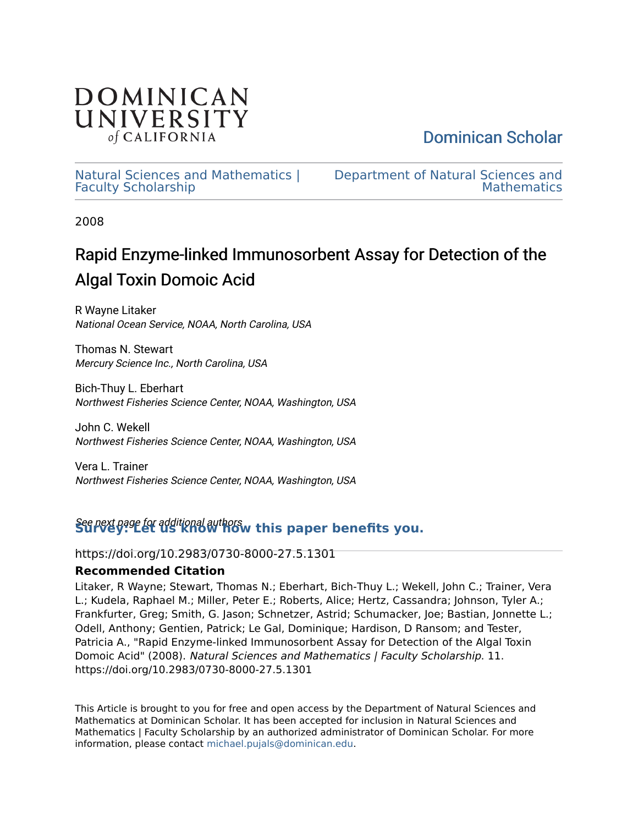

[Dominican Scholar](https://scholar.dominican.edu/) 

[Natural Sciences and Mathematics |](https://scholar.dominican.edu/natural-sciences-and-mathematics-faculty-scholarship) [Faculty Scholarship](https://scholar.dominican.edu/natural-sciences-and-mathematics-faculty-scholarship) 

[Department of Natural Sciences and](https://scholar.dominican.edu/natural-sciences-and-mathematics)  **Mathematics** 

2008

# Rapid Enzyme-linked Immunosorbent Assay for Detection of the Algal Toxin Domoic Acid

R Wayne Litaker National Ocean Service, NOAA, North Carolina, USA

Thomas N. Stewart Mercury Science Inc., North Carolina, USA

Bich-Thuy L. Eberhart Northwest Fisheries Science Center, NOAA, Washington, USA

John C. Wekell Northwest Fisheries Science Center, NOAA, Washington, USA

Vera L. Trainer Northwest Fisheries Science Center, NOAA, Washington, USA

## See next page for additional authors **[Survey: Let us know how this paper benefits you.](https://dominican.libwizard.com/dominican-scholar-feedback)**

https://doi.org/10.2983/0730-8000-27.5.1301

## **Recommended Citation**

Litaker, R Wayne; Stewart, Thomas N.; Eberhart, Bich-Thuy L.; Wekell, John C.; Trainer, Vera L.; Kudela, Raphael M.; Miller, Peter E.; Roberts, Alice; Hertz, Cassandra; Johnson, Tyler A.; Frankfurter, Greg; Smith, G. Jason; Schnetzer, Astrid; Schumacker, Joe; Bastian, Jonnette L.; Odell, Anthony; Gentien, Patrick; Le Gal, Dominique; Hardison, D Ransom; and Tester, Patricia A., "Rapid Enzyme-linked Immunosorbent Assay for Detection of the Algal Toxin Domoic Acid" (2008). Natural Sciences and Mathematics | Faculty Scholarship. 11. https://doi.org/10.2983/0730-8000-27.5.1301

This Article is brought to you for free and open access by the Department of Natural Sciences and Mathematics at Dominican Scholar. It has been accepted for inclusion in Natural Sciences and Mathematics | Faculty Scholarship by an authorized administrator of Dominican Scholar. For more information, please contact [michael.pujals@dominican.edu](mailto:michael.pujals@dominican.edu).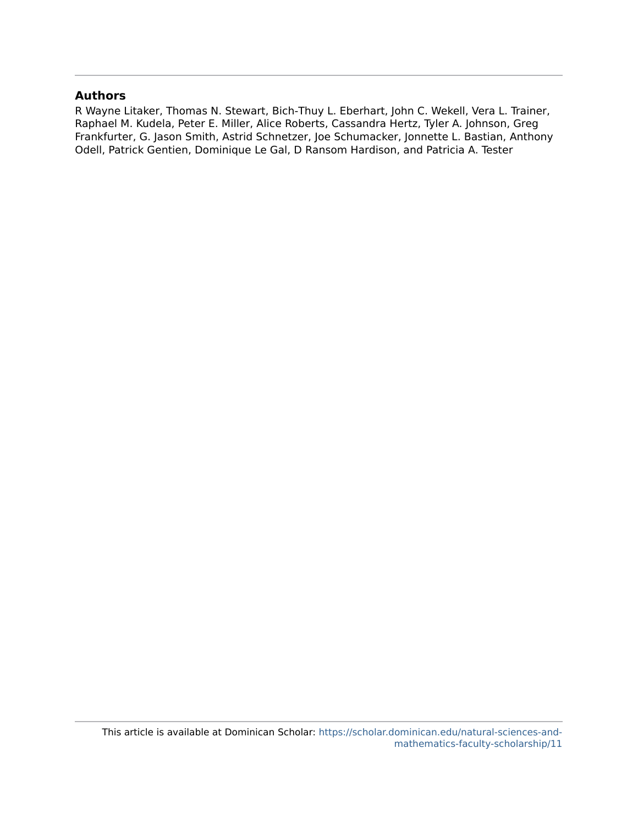## **Authors**

R Wayne Litaker, Thomas N. Stewart, Bich-Thuy L. Eberhart, John C. Wekell, Vera L. Trainer, Raphael M. Kudela, Peter E. Miller, Alice Roberts, Cassandra Hertz, Tyler A. Johnson, Greg Frankfurter, G. Jason Smith, Astrid Schnetzer, Joe Schumacker, Jonnette L. Bastian, Anthony Odell, Patrick Gentien, Dominique Le Gal, D Ransom Hardison, and Patricia A. Tester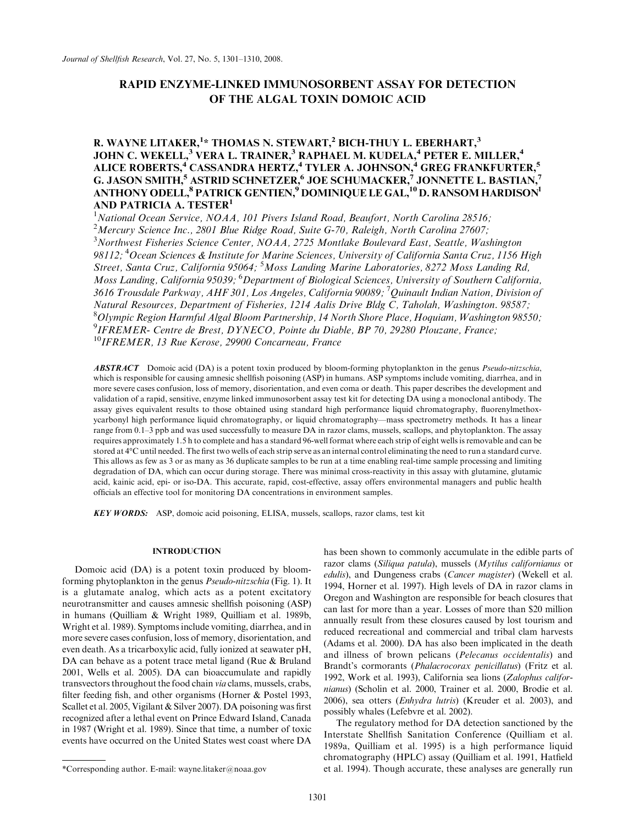## RAPID ENZYME-LINKED IMMUNOSORBENT ASSAY FOR DETECTION OF THE ALGAL TOXIN DOMOIC ACID

### R. WAYNE LITAKER,<sup>1</sup>\* THOMAS N. STEWART,<sup>2</sup> BICH-THUY L. EBERHART,<sup>3</sup> JOHN C. WEKELL, $^3$  VERA L. TRAINER, $^3$  RAPHAEL M. KUDELA, $^4$  PETER E. MILLER, $^4$ ALICE ROBERTS,<sup>4</sup> CASSANDRA HERTZ,<sup>4</sup> TYLER A. JOHNSON,<sup>4</sup> GREG FRANKFURTER,<sup>5</sup> G. JASON SMITH,<sup>5</sup> ASTRID SCHNETZER,<sup>6</sup> JOE SCHUMACKER,<sup>7</sup> JONNETTE L. BASTIAN,<sup>7</sup> ANTHONY ODELL, $^8$  PATRICK GENTIEN, $^9$  DOMINIQUE LE GAL, $^{10}$  D. RANSOM HARDISON $^1$ AND PATRICIA A. TESTER<sup>1</sup>

<sup>1</sup>National Ocean Service, NOAA, 101 Pivers Island Road, Beaufort, North Carolina 28516; <sup>2</sup>Mercury Science Inc., 2801 Blue Ridge Road, Suite G-70, Raleigh, North Carolina 27607; <sup>3</sup>Northwest Fisheries Science Center, NOAA, 2725 Montlake Boulevard East, Seattle, Washington 98112; <sup>4</sup>Ocean Sciences & Institute for Marine Sciences, University of California Santa Cruz, 1156 High Street, Santa Cruz, California 95064; <sup>5</sup>Moss Landing Marine Laboratories, 8272 Moss Landing Rd, Moss Landing, California 95039; <sup>6</sup>Department of Biological Sciences, University of Southern California, 3616 Trousdale Parkway, AHF 301, Los Angeles, California 90089; <sup>7</sup>Quinault Indian Nation, Division of Natural Resources, Department of Fisheries, 1214 Aalis Drive Bldg C, Taholah, Washington. 98587; 8 Olympic Region Harmful Algal Bloom Partnership, 14 North Shore Place, Hoquiam, Washington 98550; 9 IFREMER- Centre de Brest, DYNECO, Pointe du Diable, BP 70, 29280 Plouzane, France;  $10$ IFREMER, 13 Rue Kerose, 29900 Concarneau, France

ABSTRACT Domoic acid (DA) is a potent toxin produced by bloom-forming phytoplankton in the genus Pseudo-nitzschia, which is responsible for causing amnesic shellfish poisoning (ASP) in humans. ASP symptoms include vomiting, diarrhea, and in more severe cases confusion, loss of memory, disorientation, and even coma or death. This paper describes the development and validation of a rapid, sensitive, enzyme linked immunosorbent assay test kit for detecting DA using a monoclonal antibody. The assay gives equivalent results to those obtained using standard high performance liquid chromatography, fluorenylmethoxycarbonyl high performance liquid chromatography, or liquid chromatography—mass spectrometry methods. It has a linear range from 0.1–3 ppb and was used successfully to measure DA in razor clams, mussels, scallops, and phytoplankton. The assay requires approximately 1.5 h to complete and has a standard 96-well format where each strip of eight wells is removable and can be stored at 4°C until needed. The first two wells of each strip serve as an internal control eliminating the need to run a standard curve. This allows as few as 3 or as many as 36 duplicate samples to be run at a time enabling real-time sample processing and limiting degradation of DA, which can occur during storage. There was minimal cross-reactivity in this assay with glutamine, glutamic acid, kainic acid, epi- or iso-DA. This accurate, rapid, cost-effective, assay offers environmental managers and public health officials an effective tool for monitoring DA concentrations in environment samples.

KEY WORDS: ASP, domoic acid poisoning, ELISA, mussels, scallops, razor clams, test kit

#### INTRODUCTION

Domoic acid (DA) is a potent toxin produced by bloomforming phytoplankton in the genus Pseudo-nitzschia (Fig. 1). It is a glutamate analog, which acts as a potent excitatory neurotransmitter and causes amnesic shellfish poisoning (ASP) in humans (Quilliam & Wright 1989, Quilliam et al. 1989b, Wright et al. 1989). Symptoms include vomiting, diarrhea, and in more severe cases confusion, loss of memory, disorientation, and even death. As a tricarboxylic acid, fully ionized at seawater pH, DA can behave as a potent trace metal ligand (Rue & Bruland 2001, Wells et al. 2005). DA can bioaccumulate and rapidly transvectors throughout the food chain via clams, mussels, crabs, filter feeding fish, and other organisms (Horner & Postel 1993, Scallet et al. 2005, Vigilant & Silver 2007). DA poisoning was first recognized after a lethal event on Prince Edward Island, Canada in 1987 (Wright et al. 1989). Since that time, a number of toxic events have occurred on the United States west coast where DA has been shown to commonly accumulate in the edible parts of razor clams (Siliqua patula), mussels (Mytilus californianus or edulis), and Dungeness crabs (*Cancer magister*) (Wekell et al. 1994, Horner et al. 1997). High levels of DA in razor clams in Oregon and Washington are responsible for beach closures that can last for more than a year. Losses of more than \$20 million annually result from these closures caused by lost tourism and reduced recreational and commercial and tribal clam harvests (Adams et al. 2000). DA has also been implicated in the death and illness of brown pelicans (Pelecanus occidentalis) and Brandt's cormorants (Phalacrocorax penicillatus) (Fritz et al. 1992, Work et al. 1993), California sea lions (Zalophus californianus) (Scholin et al. 2000, Trainer et al. 2000, Brodie et al. 2006), sea otters (Enhydra lutris) (Kreuder et al. 2003), and possibly whales (Lefebvre et al. 2002).

The regulatory method for DA detection sanctioned by the Interstate Shellfish Sanitation Conference (Quilliam et al. 1989a, Quilliam et al. 1995) is a high performance liquid chromatography (HPLC) assay (Quilliam et al. 1991, Hatfield \*Corresponding author. E-mail: wayne.litaker@noaa.gov et al. 1994). Though accurate, these analyses are generally run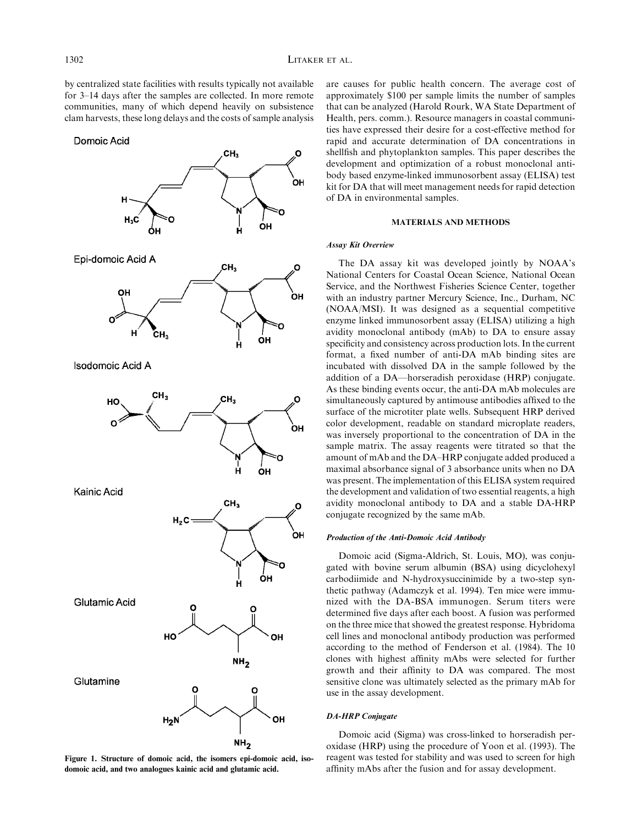by centralized state facilities with results typically not available for 3–14 days after the samples are collected. In more remote communities, many of which depend heavily on subsistence clam harvests, these long delays and the costs of sample analysis

Domoic Acid



Figure 1. Structure of domoic acid, the isomers epi-domoic acid, isodomoic acid, and two analogues kainic acid and glutamic acid.

are causes for public health concern. The average cost of approximately \$100 per sample limits the number of samples that can be analyzed (Harold Rourk, WA State Department of Health, pers. comm.). Resource managers in coastal communities have expressed their desire for a cost-effective method for rapid and accurate determination of DA concentrations in shellfish and phytoplankton samples. This paper describes the development and optimization of a robust monoclonal antibody based enzyme-linked immunosorbent assay (ELISA) test kit for DA that will meet management needs for rapid detection of DA in environmental samples.

#### MATERIALS AND METHODS

#### Assay Kit Overview

The DA assay kit was developed jointly by NOAA's National Centers for Coastal Ocean Science, National Ocean Service, and the Northwest Fisheries Science Center, together with an industry partner Mercury Science, Inc., Durham, NC (NOAA/MSI). It was designed as a sequential competitive enzyme linked immunosorbent assay (ELISA) utilizing a high avidity monoclonal antibody (mAb) to DA to ensure assay specificity and consistency across production lots. In the current format, a fixed number of anti-DA mAb binding sites are incubated with dissolved DA in the sample followed by the addition of a DA—horseradish peroxidase (HRP) conjugate. As these binding events occur, the anti-DA mAb molecules are simultaneously captured by antimouse antibodies affixed to the surface of the microtiter plate wells. Subsequent HRP derived color development, readable on standard microplate readers, was inversely proportional to the concentration of DA in the sample matrix. The assay reagents were titrated so that the amount of mAb and the DA–HRP conjugate added produced a maximal absorbance signal of 3 absorbance units when no DA was present. The implementation of this ELISA system required the development and validation of two essential reagents, a high avidity monoclonal antibody to DA and a stable DA-HRP conjugate recognized by the same mAb.

#### Production of the Anti-Domoic Acid Antibody

Domoic acid (Sigma-Aldrich, St. Louis, MO), was conjugated with bovine serum albumin (BSA) using dicyclohexyl carbodiimide and N-hydroxysuccinimide by a two-step synthetic pathway (Adamczyk et al. 1994). Ten mice were immunized with the DA-BSA immunogen. Serum titers were determined five days after each boost. A fusion was performed on the three mice that showed the greatest response. Hybridoma cell lines and monoclonal antibody production was performed according to the method of Fenderson et al. (1984). The 10 clones with highest affinity mAbs were selected for further growth and their affinity to DA was compared. The most sensitive clone was ultimately selected as the primary mAb for use in the assay development.

#### DA-HRP Conjugate

Domoic acid (Sigma) was cross-linked to horseradish peroxidase (HRP) using the procedure of Yoon et al. (1993). The reagent was tested for stability and was used to screen for high affinity mAbs after the fusion and for assay development.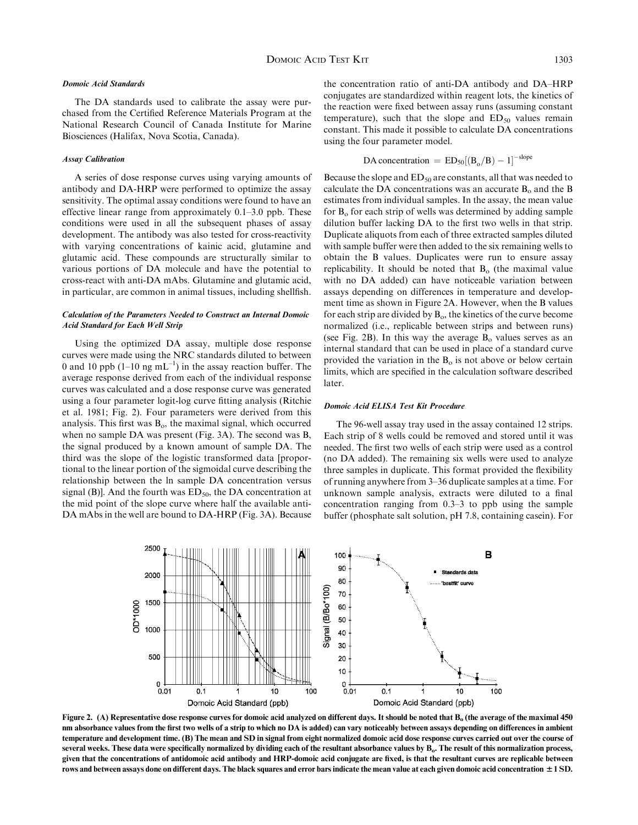#### Domoic Acid Standards

The DA standards used to calibrate the assay were purchased from the Certified Reference Materials Program at the National Research Council of Canada Institute for Marine Biosciences (Halifax, Nova Scotia, Canada).

#### Assay Calibration

A series of dose response curves using varying amounts of antibody and DA-HRP were performed to optimize the assay sensitivity. The optimal assay conditions were found to have an effective linear range from approximately 0.1–3.0 ppb. These conditions were used in all the subsequent phases of assay development. The antibody was also tested for cross-reactivity with varying concentrations of kainic acid, glutamine and glutamic acid. These compounds are structurally similar to various portions of DA molecule and have the potential to cross-react with anti-DA mAbs. Glutamine and glutamic acid, in particular, are common in animal tissues, including shellfish.

#### Calculation of the Parameters Needed to Construct an Internal Domoic Acid Standard for Each Well Strip

Using the optimized DA assay, multiple dose response curves were made using the NRC standards diluted to between 0 and 10 ppb  $(1-10 \text{ ng } mL^{-1})$  in the assay reaction buffer. The average response derived from each of the individual response curves was calculated and a dose response curve was generated using a four parameter logit-log curve fitting analysis (Ritchie et al. 1981; Fig. 2). Four parameters were derived from this analysis. This first was  $B_0$ , the maximal signal, which occurred when no sample DA was present (Fig. 3A). The second was B, the signal produced by a known amount of sample DA. The third was the slope of the logistic transformed data [proportional to the linear portion of the sigmoidal curve describing the relationship between the ln sample DA concentration versus signal (B)]. And the fourth was  $ED<sub>50</sub>$ , the DA concentration at the mid point of the slope curve where half the available anti-DA mAbs in the well are bound to DA-HRP (Fig. 3A). Because the concentration ratio of anti-DA antibody and DA–HRP conjugates are standardized within reagent lots, the kinetics of the reaction were fixed between assay runs (assuming constant temperature), such that the slope and  $ED_{50}$  values remain constant. This made it possible to calculate DA concentrations using the four parameter model.

$$
DA concentration = ED_{50}[(B_o/B) - 1]^{-slope}
$$

Because the slope and  $ED_{50}$  are constants, all that was needed to calculate the DA concentrations was an accurate  $B_0$  and the B estimates from individual samples. In the assay, the mean value for  $B_0$  for each strip of wells was determined by adding sample dilution buffer lacking DA to the first two wells in that strip. Duplicate aliquots from each of three extracted samples diluted with sample buffer were then added to the six remaining wells to obtain the B values. Duplicates were run to ensure assay replicability. It should be noted that  $B<sub>o</sub>$  (the maximal value with no DA added) can have noticeable variation between assays depending on differences in temperature and development time as shown in Figure 2A. However, when the B values for each strip are divided by  $B_0$ , the kinetics of the curve become normalized (i.e., replicable between strips and between runs) (see Fig. 2B). In this way the average  $B_0$  values serves as an internal standard that can be used in place of a standard curve provided the variation in the  $B_0$  is not above or below certain limits, which are specified in the calculation software described later.

#### Domoic Acid ELISA Test Kit Procedure

The 96-well assay tray used in the assay contained 12 strips. Each strip of 8 wells could be removed and stored until it was needed. The first two wells of each strip were used as a control (no DA added). The remaining six wells were used to analyze three samples in duplicate. This format provided the flexibility of running anywhere from 3–36 duplicate samples at a time. For unknown sample analysis, extracts were diluted to a final concentration ranging from 0.3–3 to ppb using the sample buffer (phosphate salt solution, pH 7.8, containing casein). For



Figure 2. (A) Representative dose response curves for domoic acid analyzed on different days. It should be noted that  $B<sub>o</sub>$  (the average of the maximal 450 nm absorbance values from the first two wells of a strip to which no DA is added) can vary noticeably between assays depending on differences in ambient temperature and development time. (B) The mean and SD in signal from eight normalized domoic acid dose response curves carried out over the course of several weeks. These data were specifically normalized by dividing each of the resultant absorbance values by B<sub>o</sub>. The result of this normalization process, given that the concentrations of antidomoic acid antibody and HRP-domoic acid conjugate are fixed, is that the resultant curves are replicable between rows and between assays done on different days. The black squares and error bars indicate the mean value at each given domoic acid concentration  $\pm 1$  SD.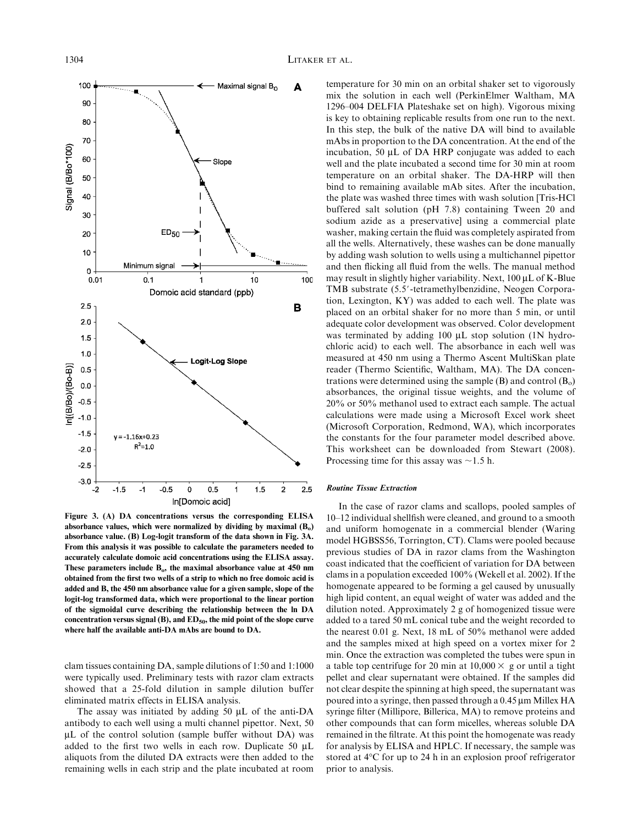

Figure 3. (A) DA concentrations versus the corresponding ELISA absorbance values, which were normalized by dividing by maximal  $(B<sub>o</sub>)$ absorbance value. (B) Log-logit transform of the data shown in Fig. 3A. From this analysis it was possible to calculate the parameters needed to accurately calculate domoic acid concentrations using the ELISA assay. These parameters include  $B_0$ , the maximal absorbance value at 450 nm obtained from the first two wells of a strip to which no free domoic acid is added and B, the 450 nm absorbance value for a given sample, slope of the logit-log transformed data, which were proportional to the linear portion of the sigmoidal curve describing the relationship between the ln DA concentration versus signal (B), and  $ED<sub>50</sub>$ , the mid point of the slope curve where half the available anti-DA mAbs are bound to DA.

clam tissues containing DA, sample dilutions of 1:50 and 1:1000 were typically used. Preliminary tests with razor clam extracts showed that a 25-fold dilution in sample dilution buffer eliminated matrix effects in ELISA analysis.

The assay was initiated by adding 50  $\mu$ L of the anti-DA antibody to each well using a multi channel pipettor. Next, 50  $\mu$ L of the control solution (sample buffer without DA) was added to the first two wells in each row. Duplicate 50  $\mu$ L aliquots from the diluted DA extracts were then added to the remaining wells in each strip and the plate incubated at room temperature for 30 min on an orbital shaker set to vigorously mix the solution in each well (PerkinElmer Waltham, MA 1296–004 DELFIA Plateshake set on high). Vigorous mixing is key to obtaining replicable results from one run to the next. In this step, the bulk of the native DA will bind to available mAbs in proportion to the DA concentration. At the end of the incubation, 50  $\mu$ L of DA HRP conjugate was added to each well and the plate incubated a second time for 30 min at room temperature on an orbital shaker. The DA-HRP will then bind to remaining available mAb sites. After the incubation, the plate was washed three times with wash solution [Tris-HCl buffered salt solution (pH 7.8) containing Tween 20 and sodium azide as a preservative] using a commercial plate washer, making certain the fluid was completely aspirated from all the wells. Alternatively, these washes can be done manually by adding wash solution to wells using a multichannel pipettor and then flicking all fluid from the wells. The manual method may result in slightly higher variability. Next,  $100 \mu L$  of K-Blue TMB substrate (5.5'-tetramethylbenzidine, Neogen Corporation, Lexington, KY) was added to each well. The plate was placed on an orbital shaker for no more than 5 min, or until adequate color development was observed. Color development was terminated by adding 100  $\mu$ L stop solution (1N hydrochloric acid) to each well. The absorbance in each well was measured at 450 nm using a Thermo Ascent MultiSkan plate reader (Thermo Scientific, Waltham, MA). The DA concentrations were determined using the sample  $(B)$  and control  $(B_0)$ absorbances, the original tissue weights, and the volume of 20% or 50% methanol used to extract each sample. The actual calculations were made using a Microsoft Excel work sheet (Microsoft Corporation, Redmond, WA), which incorporates the constants for the four parameter model described above. This worksheet can be downloaded from Stewart (2008). Processing time for this assay was  $\sim$ 1.5 h.

#### Routine Tissue Extraction

In the case of razor clams and scallops, pooled samples of 10–12 individual shellfish were cleaned, and ground to a smooth and uniform homogenate in a commercial blender (Waring model HGBSS56, Torrington, CT). Clams were pooled because previous studies of DA in razor clams from the Washington coast indicated that the coefficient of variation for DA between clams in a population exceeded 100% (Wekell et al. 2002). If the homogenate appeared to be forming a gel caused by unusually high lipid content, an equal weight of water was added and the dilution noted. Approximately 2 g of homogenized tissue were added to a tared 50 mL conical tube and the weight recorded to the nearest 0.01 g. Next, 18 mL of 50% methanol were added and the samples mixed at high speed on a vortex mixer for 2 min. Once the extraction was completed the tubes were spun in a table top centrifuge for 20 min at  $10,000 \times$  g or until a tight pellet and clear supernatant were obtained. If the samples did not clear despite the spinning at high speed, the supernatant was poured into a syringe, then passed through a 0.45  $\mu$ m Millex HA syringe filter (Millipore, Billerica, MA) to remove proteins and other compounds that can form micelles, whereas soluble DA remained in the filtrate. At this point the homogenate was ready for analysis by ELISA and HPLC. If necessary, the sample was stored at 4°C for up to 24 h in an explosion proof refrigerator prior to analysis.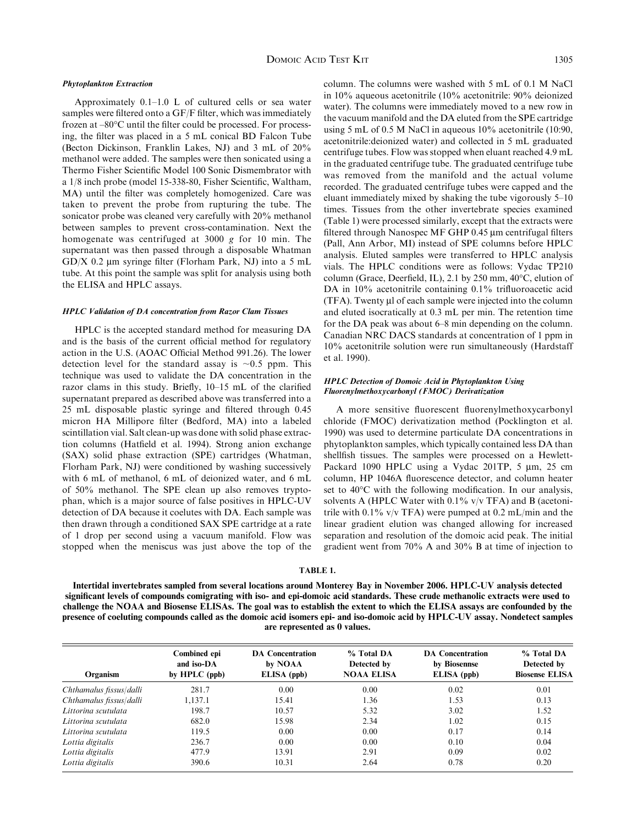#### Phytoplankton Extraction

Approximately 0.1–1.0 L of cultured cells or sea water samples were filtered onto a GF/F filter, which was immediately frozen at  $-80^{\circ}$ C until the filter could be processed. For processing, the filter was placed in a 5 mL conical BD Falcon Tube (Becton Dickinson, Franklin Lakes, NJ) and 3 mL of 20% methanol were added. The samples were then sonicated using a Thermo Fisher Scientific Model 100 Sonic Dismembrator with a 1/8 inch probe (model 15-338-80, Fisher Scientific, Waltham, MA) until the filter was completely homogenized. Care was taken to prevent the probe from rupturing the tube. The sonicator probe was cleaned very carefully with 20% methanol between samples to prevent cross-contamination. Next the homogenate was centrifuged at 3000 g for 10 min. The supernatant was then passed through a disposable Whatman GD/X 0.2  $\mu$ m syringe filter (Florham Park, NJ) into a 5 mL tube. At this point the sample was split for analysis using both the ELISA and HPLC assays.

#### HPLC Validation of DA concentration from Razor Clam Tissues

HPLC is the accepted standard method for measuring DA and is the basis of the current official method for regulatory action in the U.S. (AOAC Official Method 991.26). The lower detection level for the standard assay is  $\sim 0.5$  ppm. This technique was used to validate the DA concentration in the razor clams in this study. Briefly, 10–15 mL of the clarified supernatant prepared as described above was transferred into a 25 mL disposable plastic syringe and filtered through 0.45 micron HA Millipore filter (Bedford, MA) into a labeled scintillation vial. Salt clean-up was done with solid phase extraction columns (Hatfield et al. 1994). Strong anion exchange (SAX) solid phase extraction (SPE) cartridges (Whatman, Florham Park, NJ) were conditioned by washing successively with 6 mL of methanol, 6 mL of deionized water, and 6 mL of 50% methanol. The SPE clean up also removes tryptophan, which is a major source of false positives in HPLC-UV detection of DA because it coelutes with DA. Each sample was then drawn through a conditioned SAX SPE cartridge at a rate of 1 drop per second using a vacuum manifold. Flow was stopped when the meniscus was just above the top of the

column. The columns were washed with 5 mL of 0.1 M NaCl in 10% aqueous acetonitrile (10% acetonitrile: 90% deionized water). The columns were immediately moved to a new row in the vacuum manifold and the DA eluted from the SPE cartridge using 5 mL of 0.5 M NaCl in aqueous 10% acetonitrile (10:90, acetonitrile:deionized water) and collected in 5 mL graduated centrifuge tubes. Flow was stopped when eluant reached 4.9 mL in the graduated centrifuge tube. The graduated centrifuge tube was removed from the manifold and the actual volume recorded. The graduated centrifuge tubes were capped and the eluant immediately mixed by shaking the tube vigorously 5–10 times. Tissues from the other invertebrate species examined (Table 1) were processed similarly, except that the extracts were filtered through Nanospec MF GHP 0.45 µm centrifugal filters (Pall, Ann Arbor, MI) instead of SPE columns before HPLC analysis. Eluted samples were transferred to HPLC analysis vials. The HPLC conditions were as follows: Vydac TP210 column (Grace, Deerfield, IL), 2.1 by 250 mm, 40°C, elution of DA in 10% acetonitrile containing 0.1% trifluoroacetic acid  $(TFA)$ . Twenty  $\mu$ l of each sample were injected into the column and eluted isocratically at 0.3 mL per min. The retention time for the DA peak was about 6–8 min depending on the column. Canadian NRC DACS standards at concentration of 1 ppm in 10% acetonitrile solution were run simultaneously (Hardstaff et al. 1990).

#### HPLC Detection of Domoic Acid in Phytoplankton Using Fluorenylmethoxycarbonyl (FMOC) Derivatization

A more sensitive fluorescent fluorenylmethoxycarbonyl chloride (FMOC) derivatization method (Pocklington et al. 1990) was used to determine particulate DA concentrations in phytoplankton samples, which typically contained less DA than shellfish tissues. The samples were processed on a Hewlett-Packard 1090 HPLC using a Vydac 201TP,  $5 \mu m$ ,  $25 \text{ cm}$ column, HP 1046A fluorescence detector, and column heater set to 40°C with the following modification. In our analysis, solvents A (HPLC Water with  $0.1\%$  v/v TFA) and B (acetonitrile with 0.1% v/v TFA) were pumped at 0.2 mL/min and the linear gradient elution was changed allowing for increased separation and resolution of the domoic acid peak. The initial gradient went from 70% A and 30% B at time of injection to

#### TABLE 1.

Intertidal invertebrates sampled from several locations around Monterey Bay in November 2006. HPLC-UV analysis detected significant levels of compounds comigrating with iso- and epi-domoic acid standards. These crude methanolic extracts were used to challenge the NOAA and Biosense ELISAs. The goal was to establish the extent to which the ELISA assays are confounded by the presence of coeluting compounds called as the domoic acid isomers epi- and iso-domoic acid by HPLC-UV assay. Nondetect samples are represented as 0 values.

| Organism                | Combined epi<br>and iso-DA<br>by $HPLC$ (ppb) | <b>DA</b> Concentration<br>by NOAA<br>ELISA (ppb) | % Total DA<br>Detected by<br><b>NOAA ELISA</b> | <b>DA</b> Concentration<br>by Biosennse<br>ELISA (ppb) | % Total DA<br>Detected by<br><b>Biosense ELISA</b> |
|-------------------------|-----------------------------------------------|---------------------------------------------------|------------------------------------------------|--------------------------------------------------------|----------------------------------------------------|
| Chthamalus fissus/dalli | 281.7                                         | 0.00                                              | 0.00                                           | 0.02                                                   | 0.01                                               |
| Chthamalus fissus/dalli | 1,137.1                                       | 15.41                                             | 1.36                                           | 1.53                                                   | 0.13                                               |
| Littorina scutulata     | 198.7                                         | 10.57                                             | 5.32                                           | 3.02                                                   | 1.52                                               |
| Littorina scutulata     | 682.0                                         | 15.98                                             | 2.34                                           | 1.02                                                   | 0.15                                               |
| Littorina scutulata     | 119.5                                         | 0.00                                              | 0.00                                           | 0.17                                                   | 0.14                                               |
| Lottia digitalis        | 236.7                                         | 0.00                                              | 0.00                                           | 0.10                                                   | 0.04                                               |
| Lottia digitalis        | 477.9                                         | 13.91                                             | 2.91                                           | 0.09                                                   | 0.02                                               |
| Lottia digitalis        | 390.6                                         | 10.31                                             | 2.64                                           | 0.78                                                   | 0.20                                               |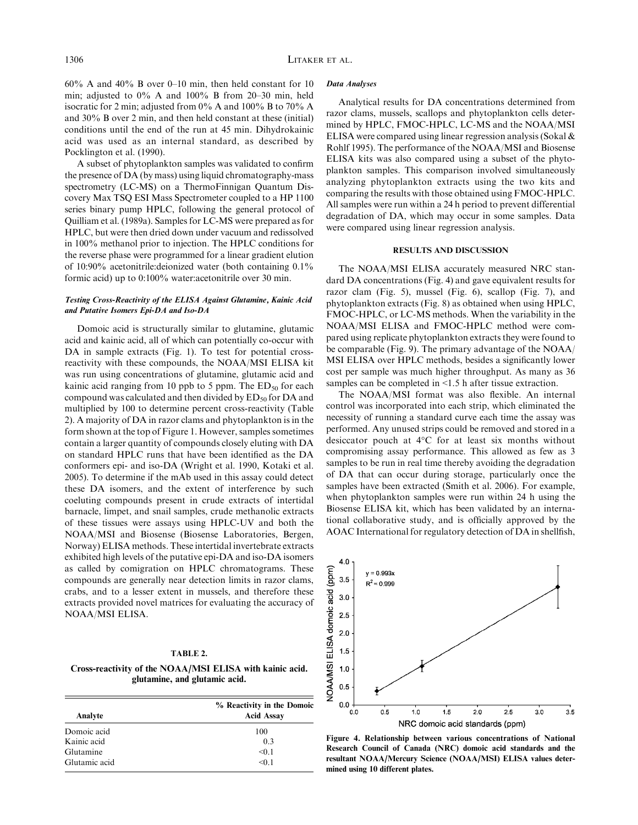$60\%$  A and  $40\%$  B over 0–10 min, then held constant for 10 min; adjusted to 0% A and 100% B from 20–30 min, held isocratic for 2 min; adjusted from 0% A and 100% B to 70% A and 30% B over 2 min, and then held constant at these (initial) conditions until the end of the run at 45 min. Dihydrokainic acid was used as an internal standard, as described by Pocklington et al. (1990).

A subset of phytoplankton samples was validated to confirm the presence of DA (by mass) using liquid chromatography-mass spectrometry (LC-MS) on a ThermoFinnigan Quantum Discovery Max TSQ ESI Mass Spectrometer coupled to a HP 1100 series binary pump HPLC, following the general protocol of Quilliam et al. (1989a). Samples for LC-MS were prepared as for HPLC, but were then dried down under vacuum and redissolved in 100% methanol prior to injection. The HPLC conditions for the reverse phase were programmed for a linear gradient elution of 10:90% acetonitrile:deionized water (both containing 0.1% formic acid) up to 0:100% water:acetonitrile over 30 min.

#### Testing Cross-Reactivity of the ELISA Against Glutamine, Kainic Acid and Putative Isomers Epi-DA and Iso-DA

Domoic acid is structurally similar to glutamine, glutamic acid and kainic acid, all of which can potentially co-occur with DA in sample extracts (Fig. 1). To test for potential crossreactivity with these compounds, the NOAA/MSI ELISA kit was run using concentrations of glutamine, glutamic acid and kainic acid ranging from 10 ppb to 5 ppm. The  $ED_{50}$  for each compound was calculated and then divided by  $ED_{50}$  for DA and multiplied by 100 to determine percent cross-reactivity (Table 2). A majority of DA in razor clams and phytoplankton is in the form shown at the top of Figure 1. However, samples sometimes contain a larger quantity of compounds closely eluting with DA on standard HPLC runs that have been identified as the DA conformers epi- and iso-DA (Wright et al. 1990, Kotaki et al. 2005). To determine if the mAb used in this assay could detect these DA isomers, and the extent of interference by such coeluting compounds present in crude extracts of intertidal barnacle, limpet, and snail samples, crude methanolic extracts of these tissues were assays using HPLC-UV and both the NOAA/MSI and Biosense (Biosense Laboratories, Bergen, Norway) ELISA methods. These intertidal invertebrate extracts exhibited high levels of the putative epi-DA and iso-DA isomers as called by comigration on HPLC chromatograms. These compounds are generally near detection limits in razor clams, crabs, and to a lesser extent in mussels, and therefore these extracts provided novel matrices for evaluating the accuracy of NOAA/MSI ELISA.

#### TABLE 2.

Cross-reactivity of the NOAA/MSI ELISA with kainic acid. glutamine, and glutamic acid.

|               | % Reactivity in the Domoic<br><b>Acid Assay</b> |  |  |
|---------------|-------------------------------------------------|--|--|
| Analyte       |                                                 |  |  |
| Domoic acid   | 100                                             |  |  |
| Kainic acid   | 0.3                                             |  |  |
| Glutamine     | < 0.1                                           |  |  |
| Glutamic acid | < 0.1                                           |  |  |

#### Data Analyses

Analytical results for DA concentrations determined from razor clams, mussels, scallops and phytoplankton cells determined by HPLC, FMOC-HPLC, LC-MS and the NOAA/MSI ELISA were compared using linear regression analysis (Sokal & Rohlf 1995). The performance of the NOAA/MSI and Biosense ELISA kits was also compared using a subset of the phytoplankton samples. This comparison involved simultaneously analyzing phytoplankton extracts using the two kits and comparing the results with those obtained using FMOC-HPLC. All samples were run within a 24 h period to prevent differential degradation of DA, which may occur in some samples. Data were compared using linear regression analysis.

#### RESULTS AND DISCUSSION

The NOAA/MSI ELISA accurately measured NRC standard DA concentrations (Fig. 4) and gave equivalent results for razor clam (Fig. 5), mussel (Fig. 6), scallop (Fig. 7), and phytoplankton extracts (Fig. 8) as obtained when using HPLC, FMOC-HPLC, or LC-MS methods. When the variability in the NOAA/MSI ELISA and FMOC-HPLC method were compared using replicate phytoplankton extracts they were found to be comparable (Fig. 9). The primary advantage of the NOAA/ MSI ELISA over HPLC methods, besides a significantly lower cost per sample was much higher throughput. As many as 36 samples can be completed in <1.5 h after tissue extraction.

The NOAA/MSI format was also flexible. An internal control was incorporated into each strip, which eliminated the necessity of running a standard curve each time the assay was performed. Any unused strips could be removed and stored in a desiccator pouch at  $4^{\circ}$ C for at least six months without compromising assay performance. This allowed as few as 3 samples to be run in real time thereby avoiding the degradation of DA that can occur during storage, particularly once the samples have been extracted (Smith et al. 2006). For example, when phytoplankton samples were run within 24 h using the Biosense ELISA kit, which has been validated by an international collaborative study, and is officially approved by the AOAC International for regulatory detection of DA in shellfish,



Figure 4. Relationship between various concentrations of National Research Council of Canada (NRC) domoic acid standards and the resultant NOAA/Mercury Science (NOAA/MSI) ELISA values determined using 10 different plates.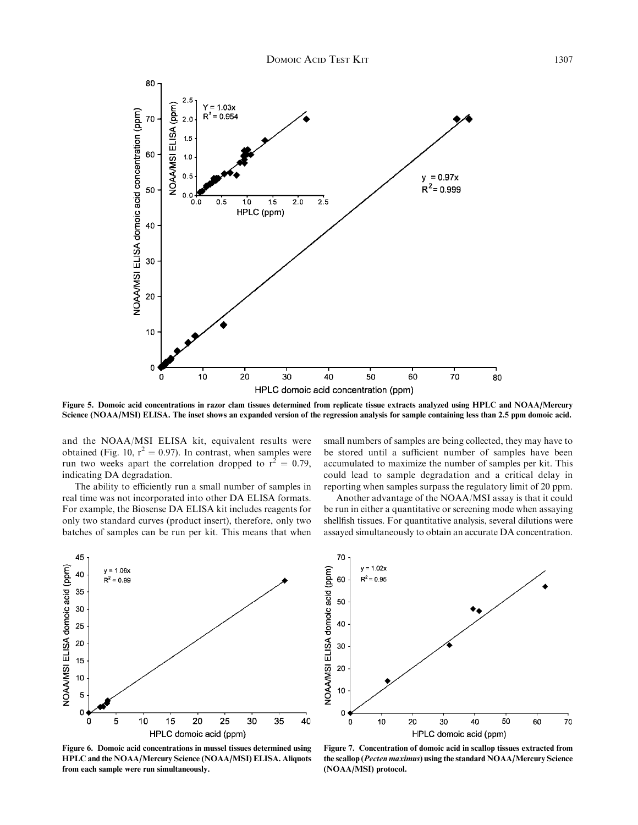

Figure 5. Domoic acid concentrations in razor clam tissues determined from replicate tissue extracts analyzed using HPLC and NOAA/Mercury Science (NOAA/MSI) ELISA. The inset shows an expanded version of the regression analysis for sample containing less than 2.5 ppm domoic acid.

and the NOAA/MSI ELISA kit, equivalent results were obtained (Fig. 10,  $r^2 = 0.97$ ). In contrast, when samples were run two weeks apart the correlation dropped to  $r^2 = 0.79$ , indicating DA degradation.

The ability to efficiently run a small number of samples in real time was not incorporated into other DA ELISA formats. For example, the Biosense DA ELISA kit includes reagents for only two standard curves (product insert), therefore, only two batches of samples can be run per kit. This means that when small numbers of samples are being collected, they may have to be stored until a sufficient number of samples have been accumulated to maximize the number of samples per kit. This could lead to sample degradation and a critical delay in reporting when samples surpass the regulatory limit of 20 ppm.

Another advantage of the NOAA/MSI assay is that it could be run in either a quantitative or screening mode when assaying shellfish tissues. For quantitative analysis, several dilutions were assayed simultaneously to obtain an accurate DA concentration.



Figure 6. Domoic acid concentrations in mussel tissues determined using HPLC and the NOAA/Mercury Science (NOAA/MSI) ELISA. Aliquots from each sample were run simultaneously.



Figure 7. Concentration of domoic acid in scallop tissues extracted from the scallop (Pecten maximus) using the standard NOAA/Mercury Science (NOAA/MSI) protocol.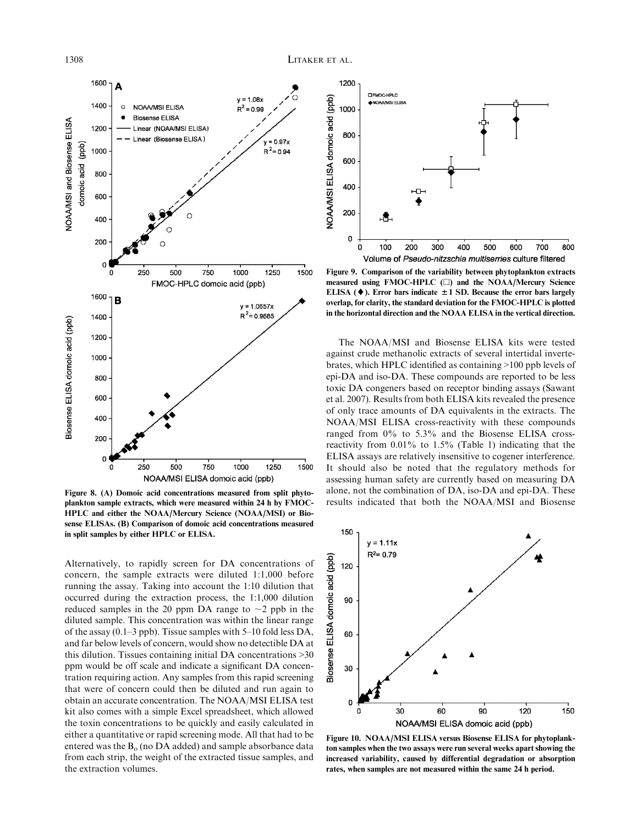

Figure 8. (A) Domoic acid concentrations measured from split phytoplankton sample extracts, which were measured within 24 h by FMOC-HPLC and either the NOAA/Mercury Science (NOAA/MSI) or Biosense ELISAs. (B) Comparison of domoic acid concentrations measured in split samples by either HPLC or ELISA.

Alternatively, to rapidly screen for DA concentrations of concern, the sample extracts were diluted 1:1,000 before running the assay. Taking into account the 1:10 dilution that occurred during the extraction process, the 1:1,000 dilution reduced samples in the 20 ppm DA range to  $\sim$ 2 ppb in the diluted sample. This concentration was within the linear range of the assay (0.1–3 ppb). Tissue samples with 5–10 fold less DA, and far below levels of concern, would show no detectible DA at this dilution. Tissues containing initial DA concentrations >30 ppm would be off scale and indicate a significant DA concentration requiring action. Any samples from this rapid screening that were of concern could then be diluted and run again to obtain an accurate concentration. The NOAA/MSI ELISA test kit also comes with a simple Excel spreadsheet, which allowed the toxin concentrations to be quickly and easily calculated in either a quantitative or rapid screening mode. All that had to be entered was the  $B<sub>o</sub>$  (no DA added) and sample absorbance data from each strip, the weight of the extracted tissue samples, and the extraction volumes.



Figure 9. Comparison of the variability between phytoplankton extracts measured using FMOC-HPLC  $(\square)$  and the NOAA/Mercury Science ELISA ( $\blacklozenge$ ). Error bars indicate  $\pm 1$  SD. Because the error bars largely overlap, for clarity, the standard deviation for the FMOC-HPLC is plotted in the horizontal direction and the NOAA ELISA in the vertical direction.

The NOAA/MSI and Biosense ELISA kits were tested against crude methanolic extracts of several intertidal invertebrates, which HPLC identified as containing >100 ppb levels of epi-DA and iso-DA. These compounds are reported to be less toxic DA congeners based on receptor binding assays (Sawant et al. 2007). Results from both ELISA kits revealed the presence of only trace amounts of DA equivalents in the extracts. The NOAA/MSI ELISA cross-reactivity with these compounds ranged from 0% to 5.3% and the Biosense ELISA crossreactivity from 0.01% to 1.5% (Table 1) indicating that the ELISA assays are relatively insensitive to cogener interference. It should also be noted that the regulatory methods for assessing human safety are currently based on measuring DA alone, not the combination of DA, iso-DA and epi-DA. These results indicated that both the NOAA/MSI and Biosense



Figure 10. NOAA/MSI ELISA versus Biosense ELISA for phytoplankton samples when the two assays were run several weeks apart showing the increased variability, caused by differential degradation or absorption rates, when samples are not measured within the same 24 h period.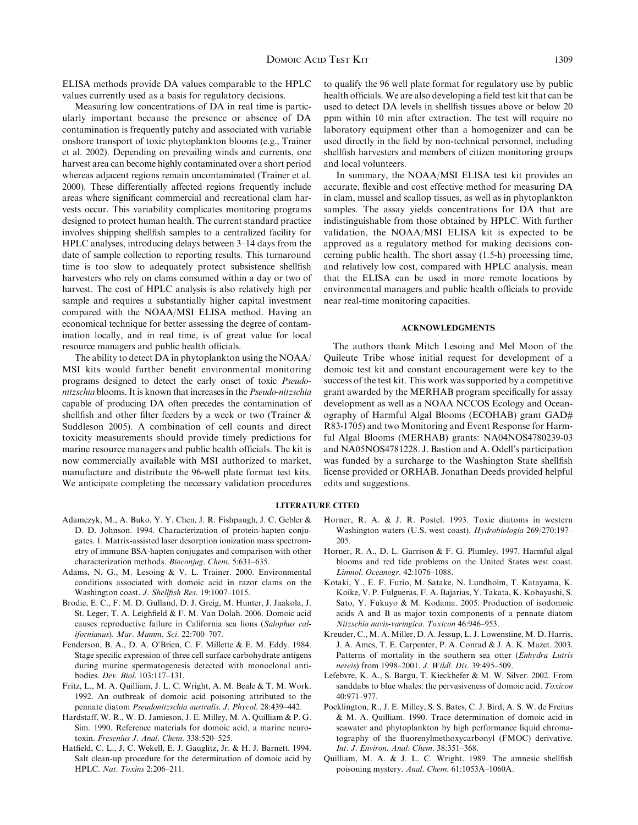ELISA methods provide DA values comparable to the HPLC values currently used as a basis for regulatory decisions.

Measuring low concentrations of DA in real time is particularly important because the presence or absence of DA contamination is frequently patchy and associated with variable onshore transport of toxic phytoplankton blooms (e.g., Trainer et al. 2002). Depending on prevailing winds and currents, one harvest area can become highly contaminated over a short period whereas adjacent regions remain uncontaminated (Trainer et al. 2000). These differentially affected regions frequently include areas where significant commercial and recreational clam harvests occur. This variability complicates monitoring programs designed to protect human health. The current standard practice involves shipping shellfish samples to a centralized facility for HPLC analyses, introducing delays between 3–14 days from the date of sample collection to reporting results. This turnaround time is too slow to adequately protect subsistence shellfish harvesters who rely on clams consumed within a day or two of harvest. The cost of HPLC analysis is also relatively high per sample and requires a substantially higher capital investment compared with the NOAA/MSI ELISA method. Having an economical technique for better assessing the degree of contamination locally, and in real time, is of great value for local resource managers and public health officials.

The ability to detect DA in phytoplankton using the NOAA/ MSI kits would further benefit environmental monitoring programs designed to detect the early onset of toxic Pseudonitzschia blooms. It is known that increases in the Pseudo-nitzschia capable of producing DA often precedes the contamination of shellfish and other filter feeders by a week or two (Trainer & Suddleson 2005). A combination of cell counts and direct toxicity measurements should provide timely predictions for marine resource managers and public health officials. The kit is now commercially available with MSI authorized to market, manufacture and distribute the 96-well plate format test kits. We anticipate completing the necessary validation procedures

- Adamczyk, M., A. Buko, Y. Y. Chen, J. R. Fishpaugh, J. C. Gebler & D. D. Johnson. 1994. Characterization of protein-hapten conjugates. 1. Matrix-assisted laser desorption ionization mass spectrometry of immune BSA-hapten conjugates and comparison with other characterization methods. Bioconjug. Chem. 5:631–635.
- Adams, N. G., M. Lesoing & V. L. Trainer. 2000. Environmental conditions associated with domoic acid in razor clams on the Washington coast. J. Shellfish Res. 19:1007–1015.
- Brodie, E. C., F. M. D. Gulland, D. J. Greig, M. Hunter, J. Jaakola, J. St. Leger, T. A. Leighfield & F. M. Van Dolah. 2006. Domoic acid causes reproductive failure in California sea lions (Salophus californianus). Mar. Mamm. Sci. 22:700–707.
- Fenderson, B. A., D. A. O'Brien, C. F. Millette & E. M. Eddy. 1984. Stage specific expression of three cell surface carbohydrate antigens during murine spermatogenesis detected with monoclonal antibodies. Dev. Biol. 103:117–131.
- Fritz, L., M. A. Quilliam, J. L. C. Wright, A. M. Beale & T. M. Work. 1992. An outbreak of domoic acid poisoning attributed to the pennate diatom Pseudonitzschia australis. J. Phycol. 28:439–442.
- Hardstaff, W. R., W. D. Jamieson, J. E. Milley, M. A. Quilliam & P. G. Sim. 1990. Reference materials for domoic acid, a marine neurotoxin. Fresenius J. Anal. Chem. 338:520–525.
- Hatfield, C. L., J. C. Wekell, E. J. Gauglitz, Jr. & H. J. Barnett. 1994. Salt clean-up procedure for the determination of domoic acid by HPLC. Nat. Toxins 2:206–211.

to qualify the 96 well plate format for regulatory use by public health officials. We are also developing a field test kit that can be used to detect DA levels in shellfish tissues above or below 20 ppm within 10 min after extraction. The test will require no laboratory equipment other than a homogenizer and can be used directly in the field by non-technical personnel, including shellfish harvesters and members of citizen monitoring groups and local volunteers.

In summary, the NOAA/MSI ELISA test kit provides an accurate, flexible and cost effective method for measuring DA in clam, mussel and scallop tissues, as well as in phytoplankton samples. The assay yields concentrations for DA that are indistinguishable from those obtained by HPLC. With further validation, the NOAA/MSI ELISA kit is expected to be approved as a regulatory method for making decisions concerning public health. The short assay (1.5-h) processing time, and relatively low cost, compared with HPLC analysis, mean that the ELISA can be used in more remote locations by environmental managers and public health officials to provide near real-time monitoring capacities.

#### ACKNOWLEDGMENTS

The authors thank Mitch Lesoing and Mel Moon of the Quileute Tribe whose initial request for development of a domoic test kit and constant encouragement were key to the success of the test kit. This work was supported by a competitive grant awarded by the MERHAB program specifically for assay development as well as a NOAA NCCOS Ecology and Oceanography of Harmful Algal Blooms (ECOHAB) grant GAD# R83-1705) and two Monitoring and Event Response for Harmful Algal Blooms (MERHAB) grants: NA04NOS4780239-03 and NA05NOS4781228. J. Bastion and A. Odell's participation was funded by a surcharge to the Washington State shellfish license provided or ORHAB. Jonathan Deeds provided helpful edits and suggestions.

#### LITERATURE CITED

- Horner, R. A. & J. R. Postel. 1993. Toxic diatoms in western Washington waters (U.S. west coast). Hydrobiologia 269/270:197– 205.
- Horner, R. A., D. L. Garrison & F. G. Plumley. 1997. Harmful algal blooms and red tide problems on the United States west coast. Limnol. Oceanogr. 42:1076–1088.
- Kotaki, Y., E. F. Furio, M. Satake, N. Lundholm, T. Katayama, K. Koike, V. P. Fulgueras, F. A. Bajarias, Y. Takata, K. Kobayashi, S. Sato, Y. Fukuyo & M. Kodama. 2005. Production of isodomoic acids A and B as major toxin components of a pennate diatom Nitzschia navis-varingica. Toxicon 46:946–953.
- Kreuder, C., M. A. Miller, D. A. Jessup, L. J. Lowenstine, M. D. Harris, J. A. Ames, T. E. Carpenter, P. A. Conrad & J. A. K. Mazet. 2003. Patterns of mortality in the southern sea otter (Enhydra Lutris nereis) from 1998–2001. J. Wildl. Dis. 39:495–509.
- Lefebvre, K. A., S. Bargu, T. Kieckhefer & M. W. Silver. 2002. From sanddabs to blue whales: the pervasiveness of domoic acid. Toxicon 40:971–977.
- Pocklington, R., J. E. Milley, S. S. Bates, C. J. Bird, A. S. W. de Freitas & M. A. Quilliam. 1990. Trace determination of domoic acid in seawater and phytoplankton by high performance liquid chromatography of the fluorenylmethoxycarbonyl (FMOC) derivative. Int. J. Environ. Anal. Chem. 38:351–368.
- Quilliam, M. A. & J. L. C. Wright. 1989. The amnesic shellfish poisoning mystery. Anal. Chem. 61:1053A–1060A.